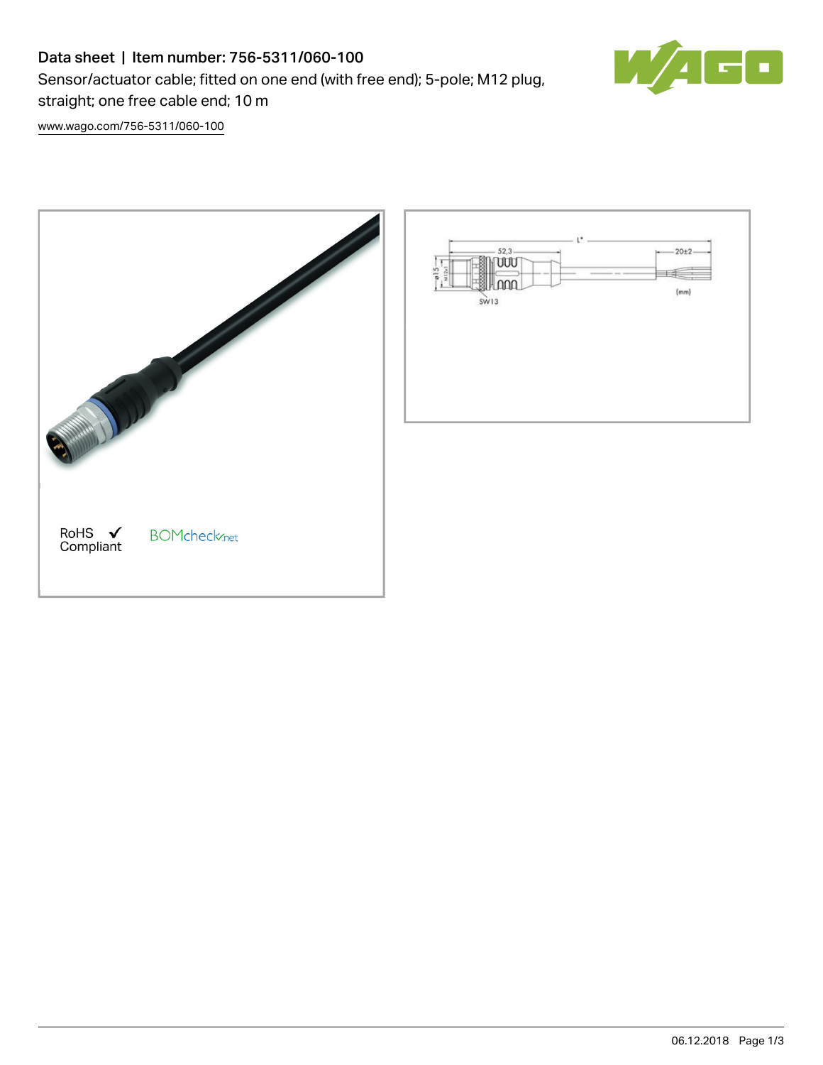## Data sheet | Item number: 756-5311/060-100

Sensor/actuator cable; fitted on one end (with free end); 5-pole; M12 plug,



[www.wago.com/756-5311/060-100](http://www.wago.com/756-5311/060-100)

straight; one free cable end; 10 m

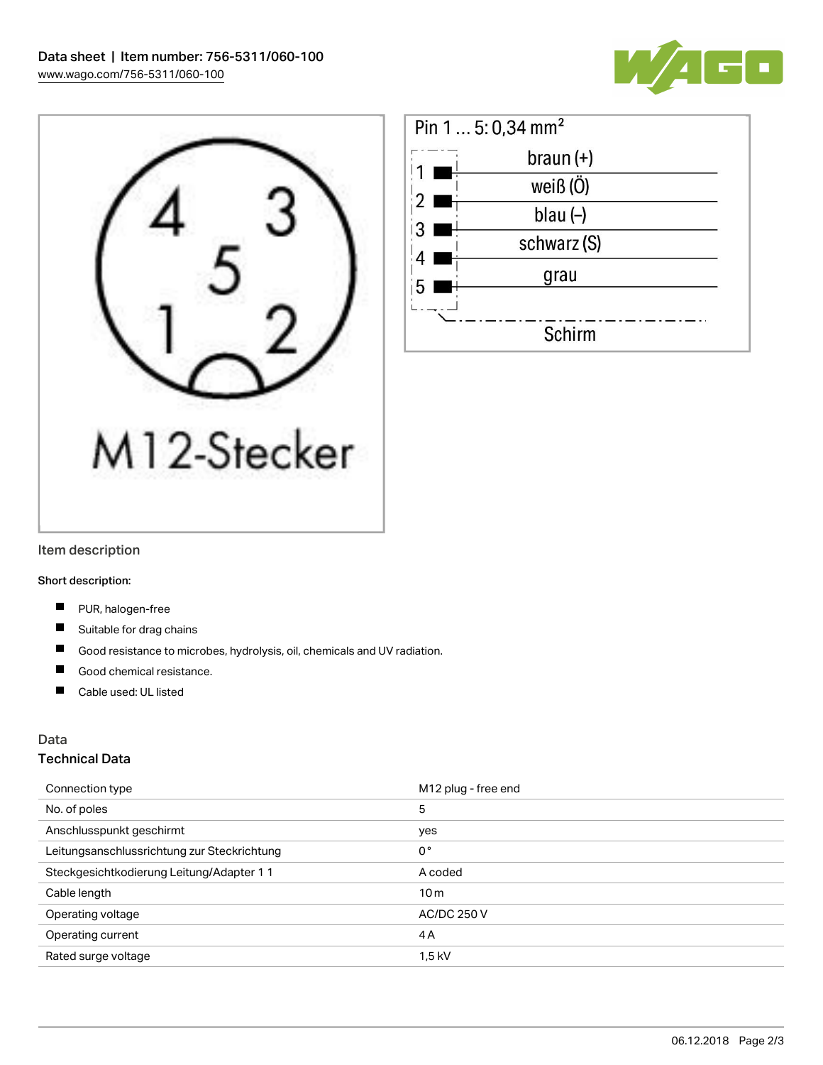





#### Item description

Short description:

- $\blacksquare$ PUR, halogen-free
- Suitable for drag chains
- $\blacksquare$ Good resistance to microbes, hydrolysis, oil, chemicals and UV radiation.
- П Good chemical resistance.
- $\blacksquare$ Cable used: UL listed

#### Data

#### Technical Data

| Connection type                             | M <sub>12</sub> plug - free end |
|---------------------------------------------|---------------------------------|
| No. of poles                                | 5                               |
| Anschlusspunkt geschirmt                    | yes                             |
| Leitungsanschlussrichtung zur Steckrichtung | $0^{\circ}$                     |
| Steckgesichtkodierung Leitung/Adapter 1 1   | A coded                         |
| Cable length                                | 10 <sub>m</sub>                 |
| Operating voltage                           | <b>AC/DC 250 V</b>              |
| Operating current                           | 4A                              |
| Rated surge voltage                         | 1,5 kV                          |